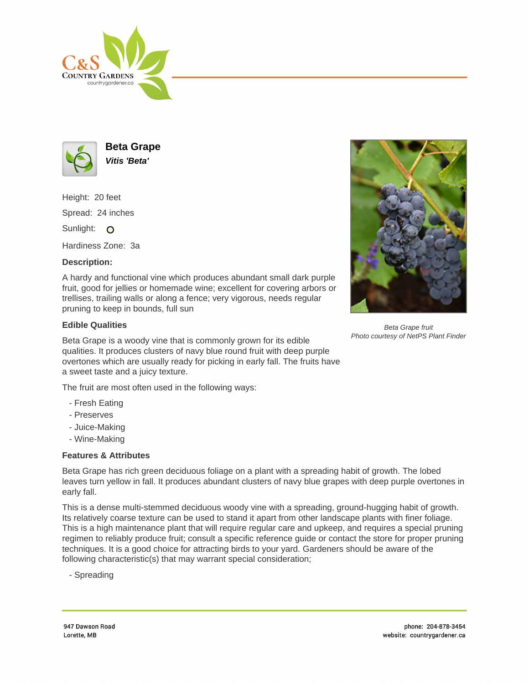



**Beta Grape Vitis 'Beta'**

Height: 20 feet Spread: 24 inches Sunlight: O

Hardiness Zone: 3a

## **Description:**

A hardy and functional vine which produces abundant small dark purple fruit, good for jellies or homemade wine; excellent for covering arbors or trellises, trailing walls or along a fence; very vigorous, needs regular pruning to keep in bounds, full sun

## **Edible Qualities**

Beta Grape is a woody vine that is commonly grown for its edible qualities. It produces clusters of navy blue round fruit with deep purple overtones which are usually ready for picking in early fall. The fruits have a sweet taste and a juicy texture.

The fruit are most often used in the following ways:

- Fresh Eating
- Preserves
- Juice-Making
- Wine-Making

## **Features & Attributes**

Beta Grape has rich green deciduous foliage on a plant with a spreading habit of growth. The lobed leaves turn yellow in fall. It produces abundant clusters of navy blue grapes with deep purple overtones in early fall.

This is a dense multi-stemmed deciduous woody vine with a spreading, ground-hugging habit of growth. Its relatively coarse texture can be used to stand it apart from other landscape plants with finer foliage. This is a high maintenance plant that will require regular care and upkeep, and requires a special pruning regimen to reliably produce fruit; consult a specific reference guide or contact the store for proper pruning techniques. It is a good choice for attracting birds to your yard. Gardeners should be aware of the following characteristic(s) that may warrant special consideration;

- Spreading



Beta Grape fruit Photo courtesy of NetPS Plant Finder